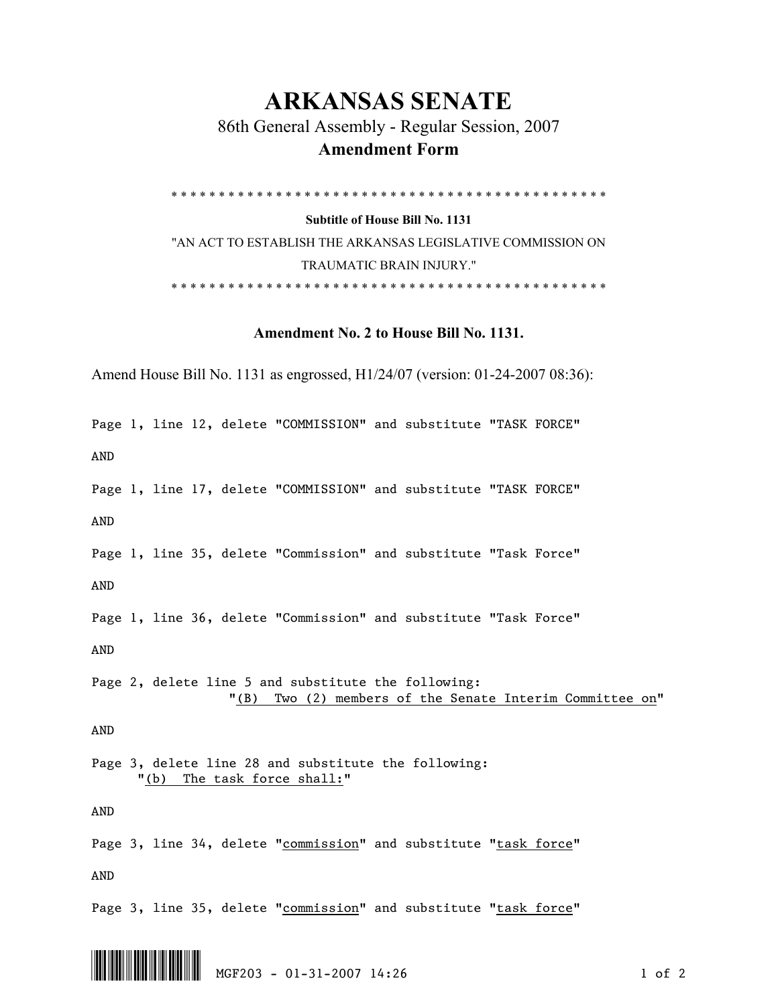## **ARKANSAS SENATE**

 86th General Assembly - Regular Session, 2007  **Amendment Form** 

\* \* \* \* \* \* \* \* \* \* \* \* \* \* \* \* \* \* \* \* \* \* \* \* \* \* \* \* \* \* \* \* \* \* \* \* \* \* \* \* \* \* \* \* \* \*

**Subtitle of House Bill No. 1131** 

"AN ACT TO ESTABLISH THE ARKANSAS LEGISLATIVE COMMISSION ON TRAUMATIC BRAIN INJURY." \* \* \* \* \* \* \* \* \* \* \* \* \* \* \* \* \* \* \* \* \* \* \* \* \* \* \* \* \* \* \* \* \* \* \* \* \* \* \* \* \* \* \* \* \* \*

## **Amendment No. 2 to House Bill No. 1131.**

Amend House Bill No. 1131 as engrossed, H1/24/07 (version: 01-24-2007 08:36):

Page 1, line 12, delete "COMMISSION" and substitute "TASK FORCE"

AND

Page 1, line 17, delete "COMMISSION" and substitute "TASK FORCE"

AND

Page 1, line 35, delete "Commission" and substitute "Task Force" AND

Page 1, line 36, delete "Commission" and substitute "Task Force"

AND

Page 2, delete line 5 and substitute the following: "(B) Two (2) members of the Senate Interim Committee on"

AND

Page 3, delete line 28 and substitute the following: "(b) The task force shall:"

AND

Page 3, line 34, delete "commission" and substitute "task force" AND

Page 3, line 35, delete "commission" and substitute "task force"